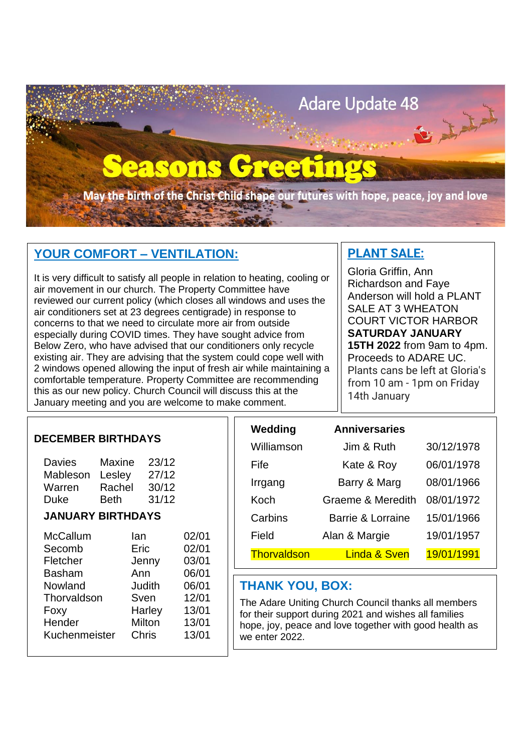

# **YOUR COMFORT – VENTILATION:**

It is very difficult to satisfy all people in relation to heating, cooling or air movement in our church. The Property Committee have reviewed our current policy (which closes all windows and uses the air conditioners set at 23 degrees centigrade) in response to concerns to that we need to circulate more air from outside especially during COVID times. They have sought advice from Below Zero, who have advised that our conditioners only recycle existing air. They are advising that the system could cope well with 2 windows opened allowing the input of fresh air while maintaining a comfortable temperature. Property Committee are recommending this as our new policy. Church Council will discuss this at the January meeting and you are welcome to make comment.

# **PLANT SALE:**

Gloria Griffin, Ann Richardson and Faye Anderson will hold a PLANT SALE AT 3 WHEATON COURT VICTOR HARBOR **SATURDAY JANUARY 15TH 2022** from 9am to 4pm. Proceeds to ADARE UC. Plants cans be left at Gloria's from 10 am - 1pm on Friday 14th January

### **DECEMBER BIRTHDAYS**

| <b>Davies</b><br>Mableson<br>Warren<br><b>Duke</b> | Maxine<br>Lesley<br>Rachel<br><b>Beth</b> | 23/12<br>27/12<br>30/12<br>31/12  |                                  | Fife<br>Irrgang<br>Koch                                                                                                                                                                  | Kate & Roy<br>Barry & Marg<br>Graeme & Meredith | 06/01/1978<br>08/01/1966<br>08/01/1972 |  |  |
|----------------------------------------------------|-------------------------------------------|-----------------------------------|----------------------------------|------------------------------------------------------------------------------------------------------------------------------------------------------------------------------------------|-------------------------------------------------|----------------------------------------|--|--|
|                                                    |                                           |                                   |                                  |                                                                                                                                                                                          |                                                 |                                        |  |  |
| <b>JANUARY BIRTHDAYS</b>                           |                                           |                                   |                                  | Carbins                                                                                                                                                                                  | Barrie & Lorraine                               | 15/01/1966                             |  |  |
| <b>McCallum</b>                                    |                                           | lan.                              | 02/01                            | Field                                                                                                                                                                                    | Alan & Margie                                   | 19/01/1957                             |  |  |
| Secomb                                             |                                           | Eric                              | 02/01                            | <b>Thorvaldson</b>                                                                                                                                                                       | <b>Linda &amp; Sven</b>                         | 19/01/1991                             |  |  |
| Fletcher                                           |                                           | Jenny                             | 03/01                            |                                                                                                                                                                                          |                                                 |                                        |  |  |
| <b>Basham</b><br>Nowland                           |                                           | Ann<br>Judith                     | 06/01<br>06/01                   | <b>THANK YOU, BOX:</b>                                                                                                                                                                   |                                                 |                                        |  |  |
| Thorvaldson<br>Foxy<br>Hender<br>Kuchenmeister     |                                           | Sven<br>Harley<br>Milton<br>Chris | 12/01<br>13/01<br>13/01<br>13/01 | The Adare Uniting Church Council thanks all members<br>for their support during 2021 and wishes all families<br>hope, joy, peace and love together with good health as<br>we enter 2022. |                                                 |                                        |  |  |

| Wedding     | <b>Anniversaries</b>    |            |
|-------------|-------------------------|------------|
| Williamson  | Jim & Ruth              | 30/12/1978 |
| Fife        | Kate & Roy              | 06/01/1978 |
| Irrgang     | Barry & Marg            | 08/01/1966 |
| Koch        | Graeme & Meredith       | 08/01/1972 |
| Carbins     | Barrie & Lorraine       | 15/01/1966 |
| Field       | Alan & Margie           | 19/01/1957 |
| Thorvaldson | <b>Linda &amp; Sven</b> | 19/01/1991 |